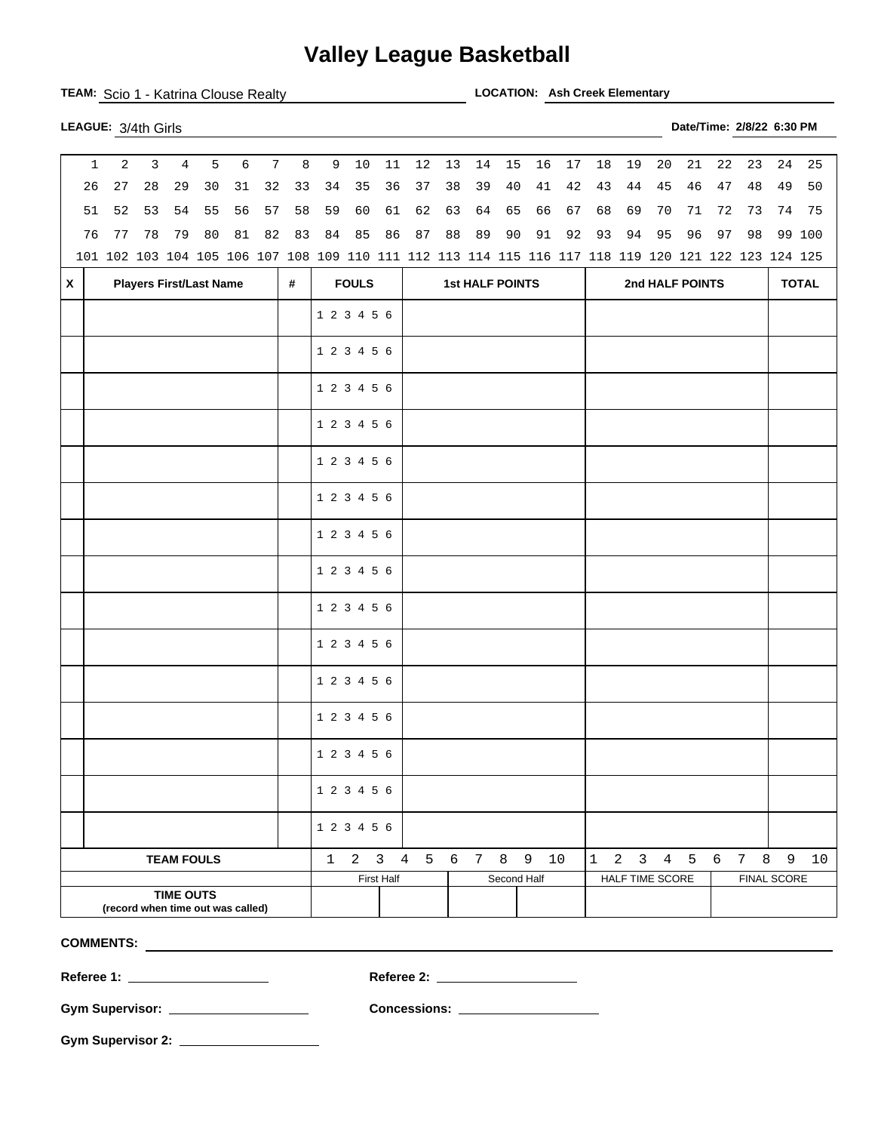## **Valley League Basketball**

|                                                       | TEAM: Scio 1 - Katrina Clouse Realty                                                                |    |                |    |    |                 |              |             |             |            |                        |    |    |             | <b>LOCATION: Ash Creek Elementary</b> |    |    |                 |                        |                           |    |              |             |        |
|-------------------------------------------------------|-----------------------------------------------------------------------------------------------------|----|----------------|----|----|-----------------|--------------|-------------|-------------|------------|------------------------|----|----|-------------|---------------------------------------|----|----|-----------------|------------------------|---------------------------|----|--------------|-------------|--------|
|                                                       | LEAGUE: 3/4th Girls                                                                                 |    |                |    |    |                 |              |             |             |            |                        |    |    |             |                                       |    |    |                 |                        | Date/Time: 2/8/22 6:30 PM |    |              |             |        |
|                                                       | 2<br>$\mathbf{1}$                                                                                   | 3  | $\overline{4}$ | 5  | 6  | $7\phantom{.0}$ | 8            | 9           | $10$        | 11         | 12                     | 13 | 14 | 15          | 16                                    | 17 | 18 | 19              | 20                     | 21                        | 22 | 23           | 24          | 25     |
| 26                                                    | 27                                                                                                  | 28 | 29             | 30 | 31 | 32              | 33           | 34          | 35          | 36         | 37                     | 38 | 39 | 40          | 41                                    | 42 | 43 | 44              | 45                     | 46                        | 47 | 48           | 49          | 50     |
| 51                                                    | 52                                                                                                  | 53 | 54             | 55 | 56 | 57              | 58           | 59          | 60          | 61         | 62                     | 63 | 64 | 65          | 66                                    | 67 | 68 | 69              | 70                     | 71                        | 72 | 73           |             | 74 75  |
| 76                                                    | 77                                                                                                  | 78 | 79             | 80 | 81 | 82              | 83           | 84          | 85          | 86         | 87                     | 88 | 89 | 90          | 91                                    | 92 | 93 | 94              | 95                     | 96                        | 97 | 98           |             | 99 100 |
|                                                       | 101 102 103 104 105 106 107 108 109 110 111 112 113 114 115 116 117 118 119 120 121 122 123 124 125 |    |                |    |    |                 |              |             |             |            |                        |    |    |             |                                       |    |    |                 |                        |                           |    |              |             |        |
| $\pmb{\mathsf{X}}$                                    | <b>Players First/Last Name</b><br>#                                                                 |    |                |    |    |                 | <b>FOULS</b> |             |             |            | <b>1st HALF POINTS</b> |    |    |             |                                       |    |    | 2nd HALF POINTS |                        |                           |    | <b>TOTAL</b> |             |        |
|                                                       |                                                                                                     |    |                |    |    |                 |              |             | 1 2 3 4 5 6 |            |                        |    |    |             |                                       |    |    |                 |                        |                           |    |              |             |        |
|                                                       |                                                                                                     |    |                |    |    |                 |              | 1 2 3 4 5 6 |             |            |                        |    |    |             |                                       |    |    |                 |                        |                           |    |              |             |        |
|                                                       |                                                                                                     |    |                |    |    |                 | 1 2 3 4 5 6  |             |             |            |                        |    |    |             |                                       |    |    |                 |                        |                           |    |              |             |        |
|                                                       |                                                                                                     |    |                |    |    |                 |              |             | 1 2 3 4 5 6 |            |                        |    |    |             |                                       |    |    |                 |                        |                           |    |              |             |        |
|                                                       |                                                                                                     |    |                |    |    |                 |              |             | 1 2 3 4 5 6 |            |                        |    |    |             |                                       |    |    |                 |                        |                           |    |              |             |        |
|                                                       |                                                                                                     |    |                |    |    |                 |              |             | 1 2 3 4 5 6 |            |                        |    |    |             |                                       |    |    |                 |                        |                           |    |              |             |        |
|                                                       |                                                                                                     |    |                |    |    |                 |              |             | 1 2 3 4 5 6 |            |                        |    |    |             |                                       |    |    |                 |                        |                           |    |              |             |        |
|                                                       |                                                                                                     |    |                |    |    | 1 2 3 4 5 6     |              |             |             |            |                        |    |    |             |                                       |    |    |                 |                        |                           |    |              |             |        |
|                                                       |                                                                                                     |    |                |    |    |                 | 1 2 3 4 5 6  |             |             |            |                        |    |    |             |                                       |    |    |                 |                        |                           |    |              |             |        |
|                                                       |                                                                                                     |    |                |    |    |                 | 1 2 3 4 5 6  |             |             |            |                        |    |    |             |                                       |    |    |                 |                        |                           |    |              |             |        |
|                                                       |                                                                                                     |    |                |    |    |                 | 1 2 3 4 5 6  |             |             |            |                        |    |    |             |                                       |    |    |                 |                        |                           |    |              |             |        |
|                                                       |                                                                                                     |    |                |    |    |                 | 1 2 3 4 5 6  |             |             |            |                        |    |    |             |                                       |    |    |                 |                        |                           |    |              |             |        |
|                                                       |                                                                                                     |    |                |    |    |                 |              |             | 1 2 3 4 5 6 |            |                        |    |    |             |                                       |    |    |                 |                        |                           |    |              |             |        |
|                                                       |                                                                                                     |    |                |    |    |                 |              |             | 1 2 3 4 5 6 |            |                        |    |    |             |                                       |    |    |                 |                        |                           |    |              |             |        |
|                                                       |                                                                                                     |    |                |    |    |                 |              |             | 1 2 3 4 5 6 |            |                        |    |    |             |                                       |    |    |                 |                        |                           |    |              |             |        |
| <b>TEAM FOULS</b>                                     |                                                                                                     |    |                |    |    |                 |              |             |             |            | 1 2 3 4 5 6 7 8 9 10   |    |    |             |                                       |    |    |                 |                        | 1 2 3 4 5 6 7 8 9         |    |              |             | 10     |
|                                                       |                                                                                                     |    |                |    |    |                 |              |             |             | First Half |                        |    |    | Second Half |                                       |    |    |                 | <b>HALF TIME SCORE</b> |                           |    |              | FINAL SCORE |        |
| <b>TIME OUTS</b><br>(record when time out was called) |                                                                                                     |    |                |    |    |                 |              |             |             |            |                        |    |    |             |                                       |    |    |                 |                        |                           |    |              |             |        |

**COMMENTS:** 

**Gym Supervisor: Concessions:** 

**Gym Supervisor 2:** 

**Referee 1: Referee 2:**